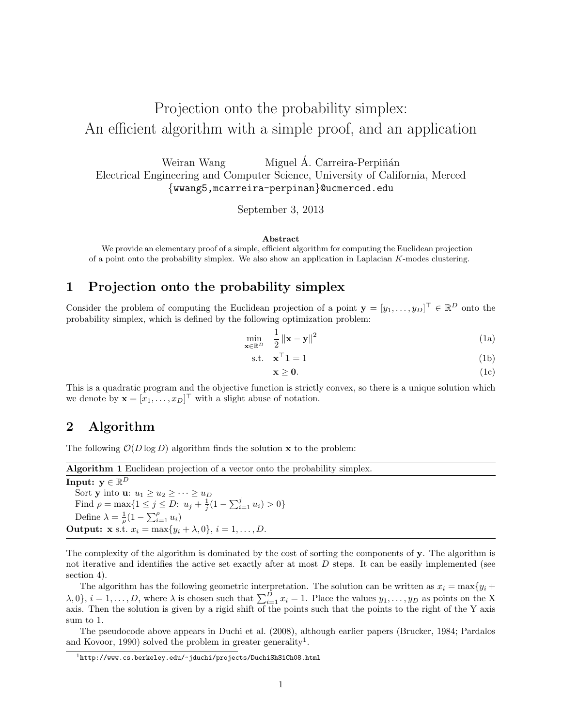# Projection onto the probability simplex: An efficient algorithm with a simple proof, and an application

Weiran Wang Miguel Á. Carreira-Perpiñán Electrical Engineering and Computer Science, University of California, Merced {wwang5,mcarreira-perpinan}@ucmerced.edu

September 3, 2013

#### Abstract

We provide an elementary proof of a simple, efficient algorithm for computing the Euclidean projection of a point onto the probability simplex. We also show an application in Laplacian K-modes clustering.

### 1 Projection onto the probability simplex

Consider the problem of computing the Euclidean projection of a point  $\mathbf{y} = [y_1, \dots, y_D]^\top \in \mathbb{R}^D$  onto the probability simplex, which is defined by the following optimization problem:

$$
\min_{\mathbf{x} \in \mathbb{R}^D} \quad \frac{1}{2} \left\| \mathbf{x} - \mathbf{y} \right\|^2 \tag{1a}
$$

$$
\text{s.t.} \quad \mathbf{x}^{\top} \mathbf{1} = 1 \tag{1b}
$$

$$
\mathbf{x} \geq \mathbf{0}.\tag{1c}
$$

This is a quadratic program and the objective function is strictly convex, so there is a unique solution which we denote by  $\mathbf{x} = [x_1, \dots, x_D]^\top$  with a slight abuse of notation.

## 2 Algorithm

The following  $\mathcal{O}(D \log D)$  algorithm finds the solution **x** to the problem:

| <b>Algorithm 1</b> Euclidean projection of a vector onto the probability simplex.  |
|------------------------------------------------------------------------------------|
| Input: $y \in \mathbb{R}^D$                                                        |
| Sort y into u: $u_1 \geq u_2 \geq \cdots \geq u_D$                                 |
| Find $\rho = \max\{1 \leq j \leq D: u_j + \frac{1}{i}(1 - \sum_{i=1}^j u_i) > 0\}$ |
| Define $\lambda = \frac{1}{\rho} (1 - \sum_{i=1}^{\rho} u_i)$                      |
| <b>Output: x</b> s.t. $x_i = \max\{y_i + \lambda, 0\}, i = 1, , D$ .               |
|                                                                                    |

The complexity of the algorithm is dominated by the cost of sorting the components of y. The algorithm is not iterative and identifies the active set exactly after at most  $D$  steps. It can be easily implemented (see section 4).

The algorithm has the following geometric interpretation. The solution can be written as  $x_i = \max\{y_i + \}$  $\lambda, 0$ ,  $i = 1, \ldots, D$ , where  $\lambda$  is chosen such that  $\sum_{i=1}^{D} x_i = 1$ . Place the values  $y_1, \ldots, y_D$  as points on the X axis. Then the solution is given by a rigid shift of the points such that the points to the right of the Y axis sum to 1.

The pseudocode above appears in Duchi et al. (2008), although earlier papers (Brucker, 1984; Pardalos and Kovoor, 1990) solved the problem in greater generality<sup>1</sup>.

 $^{1}$ http://www.cs.berkeley.edu/~jduchi/projects/DuchiShSiCh08.html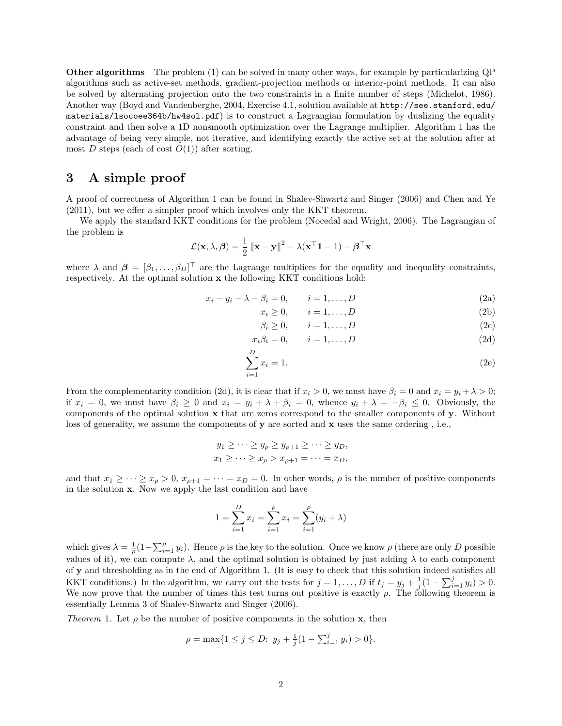Other algorithms The problem (1) can be solved in many other ways, for example by particularizing QP algorithms such as active-set methods, gradient-projection methods or interior-point methods. It can also be solved by alternating projection onto the two constraints in a finite number of steps (Michelot, 1986). Another way (Boyd and Vandenberghe, 2004, Exercise 4.1, solution available at http://see.stanford.edu/ materials/lsocoee364b/hw4sol.pdf) is to construct a Lagrangian formulation by dualizing the equality constraint and then solve a 1D nonsmooth optimization over the Lagrange multiplier. Algorithm 1 has the advantage of being very simple, not iterative, and identifying exactly the active set at the solution after at most D steps (each of cost  $O(1)$ ) after sorting.

### 3 A simple proof

A proof of correctness of Algorithm 1 can be found in Shalev-Shwartz and Singer (2006) and Chen and Ye (2011), but we offer a simpler proof which involves only the KKT theorem.

We apply the standard KKT conditions for the problem (Nocedal and Wright, 2006). The Lagrangian of the problem is

$$
\mathcal{L}(\mathbf{x}, \lambda, \boldsymbol{\beta}) = \frac{1}{2} ||\mathbf{x} - \mathbf{y}||^2 - \lambda(\mathbf{x}^\top \mathbf{1} - 1) - \boldsymbol{\beta}^\top \mathbf{x}
$$

where  $\lambda$  and  $\boldsymbol{\beta} = [\beta_1, \ldots, \beta_D]^\top$  are the Lagrange multipliers for the equality and inequality constraints, respectively. At the optimal solution  $x$  the following KKT conditions hold:

$$
x_i - y_i - \lambda - \beta_i = 0, \qquad i = 1, \dots, D
$$
\n
$$
(2a)
$$

$$
x_i \ge 0, \qquad i = 1, \dots, D \tag{2b}
$$

$$
\beta_i \ge 0, \qquad i = 1, \dots, D \tag{2c}
$$

$$
x_i \beta_i = 0, \qquad i = 1, \dots, D \tag{2d}
$$

$$
\sum_{i=1}^{D} x_i = 1.
$$
 (2e)

From the complementarity condition (2d), it is clear that if  $x_i > 0$ , we must have  $\beta_i = 0$  and  $x_i = y_i + \lambda > 0$ ; if  $x_i = 0$ , we must have  $\beta_i \geq 0$  and  $x_i = y_i + \lambda + \beta_i = 0$ , whence  $y_i + \lambda = -\beta_i \leq 0$ . Obviously, the components of the optimal solution x that are zeros correspond to the smaller components of y. Without loss of generality, we assume the components of y are sorted and x uses the same ordering, i.e.,

$$
y_1 \ge \dots \ge y_\rho \ge y_{\rho+1} \ge \dots \ge y_D,
$$
  
 $x_1 \ge \dots \ge x_\rho > x_{\rho+1} = \dots = x_D,$ 

and that  $x_1 \geq \cdots \geq x_\rho > 0$ ,  $x_{\rho+1} = \cdots = x_D = 0$ . In other words,  $\rho$  is the number of positive components in the solution x. Now we apply the last condition and have

$$
1 = \sum_{i=1}^{D} x_i = \sum_{i=1}^{P} x_i = \sum_{i=1}^{P} (y_i + \lambda)
$$

which gives  $\lambda = \frac{1}{\rho} (1 - \sum_{i=1}^{\rho} y_i)$ . Hence  $\rho$  is the key to the solution. Once we know  $\rho$  (there are only D possible values of it), we can compute  $\lambda$ , and the optimal solution is obtained by just adding  $\lambda$  to each component of y and thresholding as in the end of Algorithm 1. (It is easy to check that this solution indeed satisfies all KKT conditions.) In the algorithm, we carry out the tests for  $j = 1, ..., D$  if  $t_j = y_j + \frac{1}{j}(1 - \sum_{i=1}^j y_i) > 0$ . We now prove that the number of times this test turns out positive is exactly  $\rho$ . The following theorem is essentially Lemma 3 of Shalev-Shwartz and Singer (2006).

Theorem 1. Let  $\rho$  be the number of positive components in the solution **x**, then

$$
\rho = \max\{1 \le j \le D: y_j + \frac{1}{j}(1 - \sum_{i=1}^j y_i) > 0\}.
$$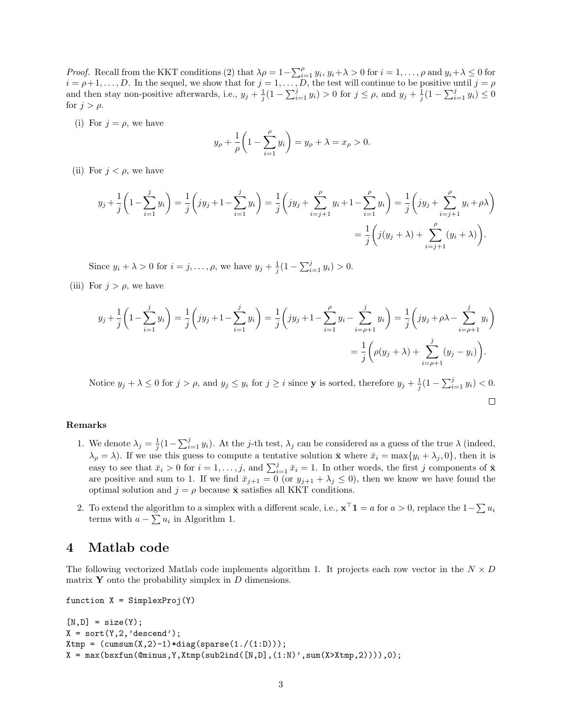*Proof.* Recall from the KKT conditions (2) that  $\lambda \rho = 1 - \sum_{i=1}^{\rho} y_i$ ,  $y_i + \lambda > 0$  for  $i = 1, \ldots, \rho$  and  $y_i + \lambda \leq 0$  for  $i = \rho + 1, \ldots, D$ . In the sequel, we show that for  $j = 1, \ldots, D$ , the test will continue to be positive until  $j = \rho$ and then stay non-positive afterwards, i.e.,  $y_j + \frac{1}{j}(1 - \sum_{i=1}^j y_i) > 0$  for  $j \le \rho$ , and  $y_j + \frac{1}{j}(1 - \sum_{i=1}^j y_i) \le 0$ for  $j > \rho$ .

(i) For  $j = \rho$ , we have

$$
y_{\rho} + \frac{1}{\rho} \left( 1 - \sum_{i=1}^{\rho} y_i \right) = y_{\rho} + \lambda = x_{\rho} > 0.
$$

(ii) For  $j < \rho$ , we have

$$
y_j + \frac{1}{j} \left( 1 - \sum_{i=1}^j y_i \right) = \frac{1}{j} \left( jy_j + 1 - \sum_{i=1}^j y_i \right) = \frac{1}{j} \left( jy_j + \sum_{i=j+1}^\rho y_i + 1 - \sum_{i=1}^\rho y_i \right) = \frac{1}{j} \left( jy_j + \sum_{i=j+1}^\rho y_i + \rho \lambda \right)
$$
  
=  $\frac{1}{j} \left( j(y_j + \lambda) + \sum_{i=j+1}^\rho (y_i + \lambda) \right).$ 

Since  $y_i + \lambda > 0$  for  $i = j, ..., \rho$ , we have  $y_j + \frac{1}{j}(1 - \sum_{i=1}^j y_i) > 0$ .

(iii) For  $j > \rho$ , we have

$$
y_j + \frac{1}{j} \left( 1 - \sum_{i=1}^j y_i \right) = \frac{1}{j} \left( jy_j + 1 - \sum_{i=1}^j y_i \right) = \frac{1}{j} \left( jy_j + 1 - \sum_{i=1}^\rho y_i - \sum_{i=\rho+1}^j y_i \right) = \frac{1}{j} \left( jy_j + \rho \lambda - \sum_{i=\rho+1}^j y_i \right)
$$

$$
= \frac{1}{j} \left( \rho(y_j + \lambda) + \sum_{i=\rho+1}^j (y_j - y_i) \right).
$$

Notice  $y_j + \lambda \leq 0$  for  $j > \rho$ , and  $y_j \leq y_i$  for  $j \geq i$  since **y** is sorted, therefore  $y_j + \frac{1}{j}(1 - \sum_{i=1}^j y_i) < 0$ .  $\Box$ 

#### Remarks

- 1. We denote  $\lambda_j = \frac{1}{j}(1 \sum_{i=1}^j y_i)$ . At the j-th test,  $\lambda_j$  can be considered as a guess of the true  $\lambda$  (indeed,  $\lambda_{\rho} = \lambda$ ). If we use this guess to compute a tentative solution  $\bar{\mathbf{x}}$  where  $\bar{x}_i = \max\{y_i + \lambda_j, 0\}$ , then it is easy to see that  $\bar{x}_i > 0$  for  $i = 1, \ldots, j$ , and  $\sum_{i=1}^j \bar{x}_i = 1$ . In other words, the first j components of  $\bar{\mathbf{x}}$ are positive and sum to 1. If we find  $\bar{x}_{j+1} = 0$  (or  $y_{j+1} + \lambda_j \leq 0$ ), then we know we have found the optimal solution and  $j = \rho$  because  $\bar{x}$  satisfies all KKT conditions.
- 2. To extend the algorithm to a simplex with a different scale, i.e.,  $\mathbf{x}^{\top} \mathbf{1} = a$  for  $a > 0$ , replace the  $1 \sum u_i$ terms with  $a - \sum u_i$  in Algorithm 1.

#### 4 Matlab code

The following vectorized Matlab code implements algorithm 1. It projects each row vector in the  $N \times D$ matrix  $\mathbf Y$  onto the probability simplex in  $D$  dimensions.

```
function X = SimplexProj(Y)
```

```
[N,D] = size(Y);X = sort(Y, 2, 'descend');Xtmp = (cumsum(X,2)-1)*diag(sparse(1./(1:D)));
X = max(bsxfun(@minus, Y, Xtmp(sub2ind([N, D], (1:N)', sum(X>Xtmp, 2))))), 0);
```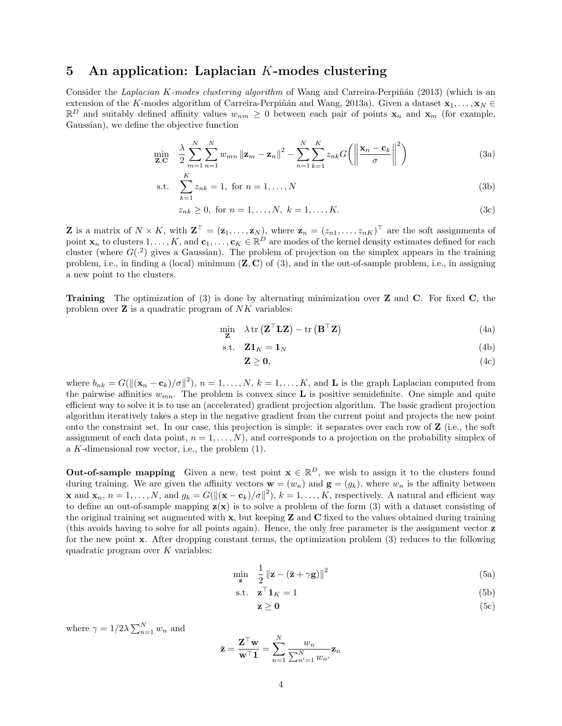#### 5 An application: Laplacian K-modes clustering

Consider the *Laplacian K-modes clustering algorithm* of Wang and Carreira-Perpiñán (2013) (which is an extension of the K-modes algorithm of Carreira-Perpiñán and Wang, 2013a). Given a dataset  $\mathbf{x}_1, \ldots, \mathbf{x}_N \in$  $\mathbb{R}^D$  and suitably defined affinity values  $w_{nm} \geq 0$  between each pair of points  $x_n$  and  $x_m$  (for example, Gaussian), we define the objective function

$$
\min_{\mathbf{Z}, \mathbf{C}} \quad \frac{\lambda}{2} \sum_{m=1}^{N} \sum_{n=1}^{N} w_{mn} \left\| \mathbf{z}_m - \mathbf{z}_n \right\|^2 - \sum_{n=1}^{N} \sum_{k=1}^{K} z_{nk} G\left( \left\| \frac{\mathbf{x}_n - \mathbf{c}_k}{\sigma} \right\|^2 \right) \tag{3a}
$$

s.t. 
$$
\sum_{k=1}^{K} z_{nk} = 1, \text{ for } n = 1, ..., N
$$
 (3b)

$$
z_{nk} \ge 0, \text{ for } n = 1, ..., N, \ k = 1, ..., K.
$$
 (3c)

**Z** is a matrix of  $N \times K$ , with  $\mathbf{Z}^{\top} = (\mathbf{z}_1, \ldots, \mathbf{z}_N)$ , where  $\mathbf{z}_n = (z_{n1}, \ldots, z_{nK})^{\top}$  are the soft assignments of point  $\mathbf{x}_n$  to clusters  $1,\ldots,K$ , and  $\mathbf{c}_1,\ldots,\mathbf{c}_K\in\mathbb{R}^D$  are modes of the kernel density estimates defined for each cluster (where  $G(·^2)$  gives a Gaussian). The problem of projection on the simplex appears in the training problem, i.e., in finding a (local) minimum  $(\mathbf{Z}, \mathbf{C})$  of (3), and in the out-of-sample problem, i.e., in assigning a new point to the clusters.

**Training** The optimization of  $(3)$  is done by alternating minimization over **Z** and **C**. For fixed **C**, the problem over  $\mathbf Z$  is a quadratic program of  $NK$  variables:

$$
\min_{\mathbf{Z}} \quad \lambda \operatorname{tr} \left( \mathbf{Z}^{\top} \mathbf{L} \mathbf{Z} \right) - \operatorname{tr} \left( \mathbf{B}^{\top} \mathbf{Z} \right) \tag{4a}
$$

$$
\text{s.t.} \quad \mathbf{Z}\mathbf{1}_K = \mathbf{1}_N \tag{4b}
$$

$$
\mathbf{Z} \geq \mathbf{0},\tag{4c}
$$

where  $b_{nk} = G(||(\mathbf{x}_n - \mathbf{c}_k)/\sigma||^2)$ ,  $n = 1, ..., N$ ,  $k = 1, ..., K$ , and **L** is the graph Laplacian computed from the pairwise affinities  $w_{mn}$ . The problem is convex since **L** is positive semidefinite. One simple and quite efficient way to solve it is to use an (accelerated) gradient projection algorithm. The basic gradient projection algorithm iteratively takes a step in the negative gradient from the current point and projects the new point onto the constraint set. In our case, this projection is simple: it separates over each row of Z (i.e., the soft assignment of each data point,  $n = 1, \ldots, N$ , and corresponds to a projection on the probability simplex of a K-dimensional row vector, i.e., the problem (1).

**Out-of-sample mapping** Given a new, test point  $\mathbf{x} \in \mathbb{R}^D$ , we wish to assign it to the clusters found during training. We are given the affinity vectors  $\mathbf{w} = (w_n)$  and  $\mathbf{g} = (g_k)$ , where  $w_n$  is the affinity between **x** and  $\mathbf{x}_n$ ,  $n = 1, ..., N$ , and  $g_k = G(||(\mathbf{x} - \mathbf{c}_k)/\sigma||^2)$ ,  $k = 1, ..., K$ , respectively. A natural and efficient way to define an out-of-sample mapping  $z(x)$  is to solve a problem of the form (3) with a dataset consisting of the original training set augmented with  $x$ , but keeping  $Z$  and  $C$  fixed to the values obtained during training (this avoids having to solve for all points again). Hence, the only free parameter is the assignment vector z for the new point x. After dropping constant terms, the optimization problem (3) reduces to the following quadratic program over  $K$  variables:

$$
\min_{\mathbf{z}} \quad \frac{1}{2} \left\| \mathbf{z} - (\bar{\mathbf{z}} + \gamma \mathbf{g}) \right\|^2 \tag{5a}
$$

$$
\text{s.t.} \quad \mathbf{z}^\top \mathbf{1}_K = 1 \tag{5b}
$$

$$
z \ge 0 \tag{5c}
$$

where  $\gamma = 1/2\lambda \sum_{n=1}^{N} w_n$  and

$$
\bar{\mathbf{z}} = \frac{\mathbf{Z}^\top \mathbf{w}}{\mathbf{w}^\top \mathbf{1}} = \sum_{n=1}^N \frac{w_n}{\sum_{n'=1}^N w_{n'}} \mathbf{z}_n
$$